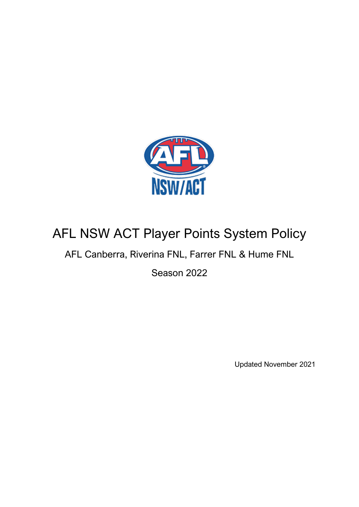

# AFL NSW ACT Player Points System Policy

## AFL Canberra, Riverina FNL, Farrer FNL & Hume FNL

Season 2022

Updated November 2021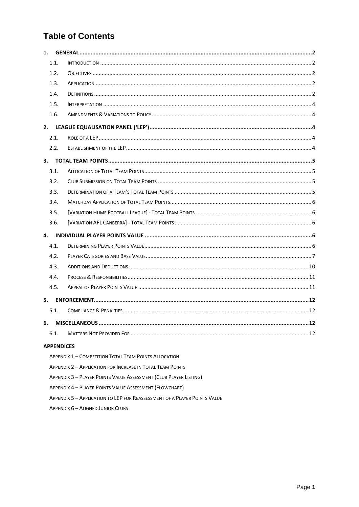## **Table of Contents**

| 1. |                   |                                                                   |
|----|-------------------|-------------------------------------------------------------------|
|    | 1.1.              |                                                                   |
|    | 1.2.              |                                                                   |
|    | 1.3.              |                                                                   |
|    | 1.4.              |                                                                   |
|    | 1.5.              |                                                                   |
|    | 1.6.              |                                                                   |
| 2. |                   |                                                                   |
|    | 2.1.              |                                                                   |
|    | 2.2.              |                                                                   |
| 3. |                   |                                                                   |
|    | 3.1.              |                                                                   |
|    | 3.2.              |                                                                   |
|    | 3.3.              |                                                                   |
|    | 3.4.              |                                                                   |
|    | 3.5.              |                                                                   |
|    | 3.6.              |                                                                   |
| 4. |                   |                                                                   |
|    | 4.1.              |                                                                   |
|    | 4.2.              |                                                                   |
|    | 4.3.              |                                                                   |
|    | 4.4.              |                                                                   |
|    | 4.5.              |                                                                   |
| 5. |                   |                                                                   |
|    | 5.1.              |                                                                   |
| 6. |                   |                                                                   |
|    | 6.1.              |                                                                   |
|    | <b>APPENDICES</b> |                                                                   |
|    |                   | <b>APPENDIX 1 - COMPETITION TOTAL TEAM POINTS ALLOCATION</b>      |
|    |                   | <b>APPENDIX 2 - APPLICATION FOR INCREASE IN TOTAL TEAM POINTS</b> |

- APPENDIX 3-PLAYER POINTS VALUE ASSESSMENT (CLUB PLAYER LISTING)
- APPENDIX 4 PLAYER POINTS VALUE ASSESSMENT (FLOWCHART)
- APPENDIX 5 APPLICATION TO LEP FOR REASSESSMENT OF A PLAYER POINTS VALUE
- **APPENDIX 6 ALIGNED JUNIOR CLUBS**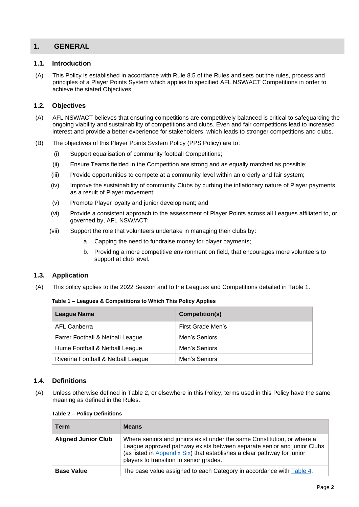## <span id="page-2-0"></span>**1. GENERAL**

### <span id="page-2-1"></span>**1.1. Introduction**

(A) This Policy is established in accordance with Rule 8.5 of the Rules and sets out the rules, process and principles of a Player Points System which applies to specified AFL NSW/ACT Competitions in order to achieve the stated Objectives.

### <span id="page-2-2"></span>**1.2. Objectives**

- (A) AFL NSW/ACT believes that ensuring competitions are competitively balanced is critical to safeguarding the ongoing viability and sustainability of competitions and clubs. Even and fair competitions lead to increased interest and provide a better experience for stakeholders, which leads to stronger competitions and clubs.
- (B) The objectives of this Player Points System Policy (PPS Policy) are to:
	- (i) Support equalisation of community football Competitions;
	- (ii) Ensure Teams fielded in the Competition are strong and as equally matched as possible;
	- (iii) Provide opportunities to compete at a community level within an orderly and fair system;
	- (iv) Improve the sustainability of community Clubs by curbing the inflationary nature of Player payments as a result of Player movement;
	- (v) Promote Player loyalty and junior development; and
	- (vi) Provide a consistent approach to the assessment of Player Points across all Leagues affiliated to, or governed by, AFL NSW/ACT;
	- (vii) Support the role that volunteers undertake in managing their clubs by:
		- a. Capping the need to fundraise money for player payments:
		- b. Providing a more competitive environment on field, that encourages more volunteers to support at club level.

### <span id="page-2-3"></span>**1.3. Application**

(A) This policy applies to the 2022 Season and to the Leagues and Competitions detailed in Table 1.

#### **Table 1 – Leagues & Competitions to Which This Policy Applies**

| League Name                        | Competition(s)    |
|------------------------------------|-------------------|
| AFL Canberra                       | First Grade Men's |
| Farrer Football & Netball League   | Men's Seniors     |
| Hume Football & Netball League     | Men's Seniors     |
| Riverina Football & Netball League | Men's Seniors     |

## <span id="page-2-4"></span>**1.4. Definitions**

(A) Unless otherwise defined in Table 2, or elsewhere in this Policy, terms used in this Policy have the same meaning as defined in the Rules.

| able 2 – Policy Definitions |                                                                                                                                                                                                                                                                          |  |  |
|-----------------------------|--------------------------------------------------------------------------------------------------------------------------------------------------------------------------------------------------------------------------------------------------------------------------|--|--|
| Term                        | <b>Means</b>                                                                                                                                                                                                                                                             |  |  |
| <b>Aligned Junior Club</b>  | Where seniors and juniors exist under the same Constitution, or where a<br>League approved pathway exists between separate senior and junior Clubs<br>(as listed in Appendix Six) that establishes a clear pathway for junior<br>players to transition to senior grades. |  |  |
| <b>Base Value</b>           | The base value assigned to each Category in accordance with Table 4.                                                                                                                                                                                                     |  |  |
|                             |                                                                                                                                                                                                                                                                          |  |  |

#### **Table 2 – Policy Definitions**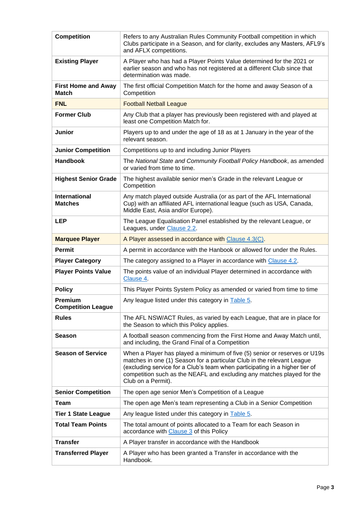| <b>Competition</b>                         | Refers to any Australian Rules Community Football competition in which<br>Clubs participate in a Season, and for clarity, excludes any Masters, AFL9's<br>and AFLX competitions.                                                                                                                                                   |  |  |
|--------------------------------------------|------------------------------------------------------------------------------------------------------------------------------------------------------------------------------------------------------------------------------------------------------------------------------------------------------------------------------------|--|--|
| <b>Existing Player</b>                     | A Player who has had a Player Points Value determined for the 2021 or<br>earlier season and who has not registered at a different Club since that<br>determination was made.                                                                                                                                                       |  |  |
| <b>First Home and Away</b><br><b>Match</b> | The first official Competition Match for the home and away Season of a<br>Competition                                                                                                                                                                                                                                              |  |  |
| <b>FNL</b>                                 | <b>Football Netball League</b>                                                                                                                                                                                                                                                                                                     |  |  |
| <b>Former Club</b>                         | Any Club that a player has previously been registered with and played at<br>least one Competition Match for.                                                                                                                                                                                                                       |  |  |
| Junior                                     | Players up to and under the age of 18 as at 1 January in the year of the<br>relevant season.                                                                                                                                                                                                                                       |  |  |
| <b>Junior Competition</b>                  | Competitions up to and including Junior Players                                                                                                                                                                                                                                                                                    |  |  |
| <b>Handbook</b>                            | The National State and Community Football Policy Handbook, as amended<br>or varied from time to time.                                                                                                                                                                                                                              |  |  |
| <b>Highest Senior Grade</b>                | The highest available senior men's Grade in the relevant League or<br>Competition                                                                                                                                                                                                                                                  |  |  |
| <b>International</b><br><b>Matches</b>     | Any match played outside Australia (or as part of the AFL International<br>Cup) with an affiliated AFL international league (such as USA, Canada,<br>Middle East, Asia and/or Europe).                                                                                                                                             |  |  |
| <b>LEP</b>                                 | The League Equalisation Panel established by the relevant League, or<br>Leagues, under Clause 2.2.                                                                                                                                                                                                                                 |  |  |
| <b>Marquee Player</b>                      | A Player assessed in accordance with Clause 4.3(C).                                                                                                                                                                                                                                                                                |  |  |
| <b>Permit</b>                              | A permit in accordance with the Hanbook or allowed for under the Rules.                                                                                                                                                                                                                                                            |  |  |
| <b>Player Category</b>                     | The category assigned to a Player in accordance with Clause 4.2.                                                                                                                                                                                                                                                                   |  |  |
| <b>Player Points Value</b>                 | The points value of an individual Player determined in accordance with<br>Clause 4.                                                                                                                                                                                                                                                |  |  |
| <b>Policy</b>                              | This Player Points System Policy as amended or varied from time to time                                                                                                                                                                                                                                                            |  |  |
| Premium<br><b>Competition League</b>       | Any league listed under this category in Table 5.                                                                                                                                                                                                                                                                                  |  |  |
| <b>Rules</b>                               | The AFL NSW/ACT Rules, as varied by each League, that are in place for<br>the Season to which this Policy applies.                                                                                                                                                                                                                 |  |  |
| <b>Season</b>                              | A football season commencing from the First Home and Away Match until,<br>and including, the Grand Final of a Competition                                                                                                                                                                                                          |  |  |
| <b>Season of Service</b>                   | When a Player has played a minimum of five (5) senior or reserves or U19s<br>matches in one (1) Season for a particular Club in the relevant League<br>(excluding service for a Club's team when participating in a higher tier of<br>competition such as the NEAFL and excluding any matches played for the<br>Club on a Permit). |  |  |
| <b>Senior Competition</b>                  | The open age senior Men's Competition of a League                                                                                                                                                                                                                                                                                  |  |  |
| <b>Team</b>                                | The open age Men's team representing a Club in a Senior Competition                                                                                                                                                                                                                                                                |  |  |
| <b>Tier 1 State League</b>                 | Any league listed under this category in Table 5.                                                                                                                                                                                                                                                                                  |  |  |
| <b>Total Team Points</b>                   | The total amount of points allocated to a Team for each Season in<br>accordance with Clause 3 of this Policy                                                                                                                                                                                                                       |  |  |
| <b>Transfer</b>                            | A Player transfer in accordance with the Handbook                                                                                                                                                                                                                                                                                  |  |  |
| <b>Transferred Player</b>                  | A Player who has been granted a Transfer in accordance with the<br>Handbook.                                                                                                                                                                                                                                                       |  |  |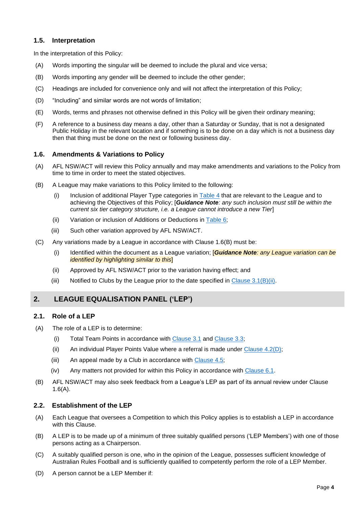## <span id="page-4-0"></span>**1.5. Interpretation**

In the interpretation of this Policy:

- (A) Words importing the singular will be deemed to include the plural and vice versa;
- (B) Words importing any gender will be deemed to include the other gender;
- (C) Headings are included for convenience only and will not affect the interpretation of this Policy;
- (D) "Including" and similar words are not words of limitation;
- (E) Words, terms and phrases not otherwise defined in this Policy will be given their ordinary meaning;
- (F) A reference to a business day means a day, other than a Saturday or Sunday, that is not a designated Public Holiday in the relevant location and if something is to be done on a day which is not a business day then that thing must be done on the next or following business day.

### <span id="page-4-1"></span>**1.6. Amendments & Variations to Policy**

- (A) AFL NSW/ACT will review this Policy annually and may make amendments and variations to the Policy from time to time in order to meet the stated objectives.
- (B) A League may make variations to this Policy limited to the following:
	- (i) Inclusion of additional Player Type categories in [Table 4](#page-7-1) that are relevant to the League and to achieving the Objectives of this Policy; [*Guidance Note: any such inclusion must still be within the current six tier category structure, i.e. a League cannot introduce a new Tier*]
	- (ii) Variation or inclusion of Additions or Deductions in Table  $6$ ;
	- (iii) Such other variation approved by AFL NSW/ACT.
- (C) Any variations made by a League in accordance with Clause 1.6(B) must be:
	- (i) Identified within the document as a League variation; [*Guidance Note: any League variation can be identified by highlighting similar to this*]
	- (ii) Approved by AFL NSW/ACT prior to the variation having effect; and
	- (iii) Notified to Clubs by the League prior to the date specified in Clause  $3.1(B)(ii)$ .

## <span id="page-4-2"></span>**2. LEAGUE EQUALISATION PANEL ('LEP')**

### <span id="page-4-3"></span>**2.1. Role of a LEP**

- (A) The role of a LEP is to determine:
	- (i) Total Team Points in accordance with [Clause 3.1](#page-5-1) and [Clause 3.3;](#page-5-3)
	- (ii) An individual Player Points Value where a referral is made under [Clause 4.2\(D\);](#page-7-2)
	- (iii) An appeal made by a Club in accordance with Clause  $4.5$ ;
	- (iv) Any matters not provided for within this Policy in accordance with [Clause 6.1.](#page-12-3)
- (B) AFL NSW/ACT may also seek feedback from a League's LEP as part of its annual review under Clause 1.6(A).

### <span id="page-4-4"></span>**2.2. Establishment of the LEP**

- (A) Each League that oversees a Competition to which this Policy applies is to establish a LEP in accordance with this Clause.
- (B) A LEP is to be made up of a minimum of three suitably qualified persons ('LEP Members') with one of those persons acting as a Chairperson.
- (C) A suitably qualified person is one, who in the opinion of the League, possesses sufficient knowledge of Australian Rules Football and is sufficiently qualified to competently perform the role of a LEP Member.
- (D) A person cannot be a LEP Member if: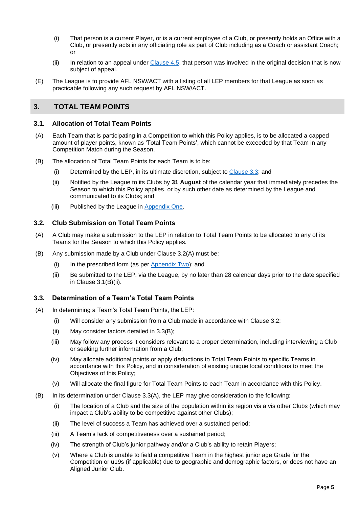- (i) That person is a current Player, or is a current employee of a Club, or presently holds an Office with a Club, or presently acts in any officiating role as part of Club including as a Coach or assistant Coach; or
- (ii) In relation to an appeal under  $C$ lause  $4.5$ , that person was involved in the original decision that is now subject of appeal.
- (E) The League is to provide AFL NSW/ACT with a listing of all LEP members for that League as soon as practicable following any such request by AFL NSW/ACT.

## <span id="page-5-0"></span>**3. TOTAL TEAM POINTS**

### <span id="page-5-1"></span>**3.1. Allocation of Total Team Points**

- (A) Each Team that is participating in a Competition to which this Policy applies, is to be allocated a capped amount of player points, known as 'Total Team Points', which cannot be exceeded by that Team in any Competition Match during the Season.
- <span id="page-5-4"></span>(B) The allocation of Total Team Points for each Team is to be:
	- (i) Determined by the LEP, in its ultimate discretion, subject to [Clause 3.3;](#page-5-3) and
	- (ii) Notified by the League to its Clubs by **31 August** of the calendar year that immediately precedes the Season to which this Policy applies, or by such other date as determined by the League and communicated to its Clubs; and
	- (iii) Published by the League in [Appendix One.](#page-13-1)

## <span id="page-5-2"></span>**3.2. Club Submission on Total Team Points**

- (A) A Club may make a submission to the LEP in relation to Total Team Points to be allocated to any of its Teams for the Season to which this Policy applies.
- (B) Any submission made by a Club under Clause 3.2(A) must be:
	- (i) In the prescribed form (as per [Appendix Two\)](#page-14-1); and
	- (ii) Be submitted to the LEP, via the League, by no later than 28 calendar days prior to the date specified in Clause 3.1(B)(ii).

## <span id="page-5-3"></span>**3.3. Determination of a Team's Total Team Points**

- (A) In determining a Team's Total Team Points, the LEP:
	- (i) Will consider any submission from a Club made in accordance with Clause 3.2;
	- (ii) May consider factors detailed in 3.3(B);
	- (iii) May follow any process it considers relevant to a proper determination, including interviewing a Club or seeking further information from a Club;
	- (iv) May allocate additional points or apply deductions to Total Team Points to specific Teams in accordance with this Policy, and in consideration of existing unique local conditions to meet the Objectives of this Policy;
	- (v) Will allocate the final figure for Total Team Points to each Team in accordance with this Policy.
- (B) In its determination under Clause 3.3(A), the LEP may give consideration to the following:
	- (i) The location of a Club and the size of the population within its region vis a vis other Clubs (which may impact a Club's ability to be competitive against other Clubs);
	- (ii) The level of success a Team has achieved over a sustained period;
	- (iii) A Team's lack of competitiveness over a sustained period;
	- (iv) The strength of Club's junior pathway and/or a Club's ability to retain Players;
	- (v) Where a Club is unable to field a competitive Team in the highest junior age Grade for the Competition or u19s (if applicable) due to geographic and demographic factors, or does not have an Aligned Junior Club.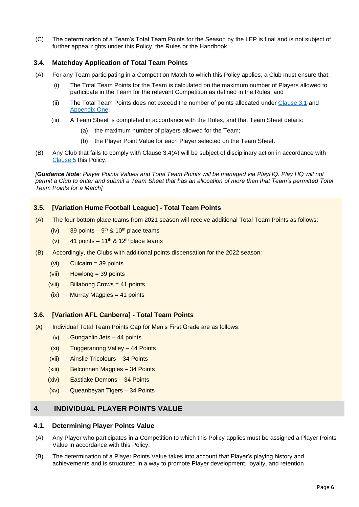(C) The determination of a Team's Total Team Points for the Season by the LEP is final and is not subject of further appeal rights under this Policy, the Rules or the Handbook.

## <span id="page-6-0"></span>**3.4. Matchday Application of Total Team Points**

- (A) For any Team participating in a Competition Match to which this Policy applies, a Club must ensure that:
	- (i) The Total Team Points for the Team is calculated on the maximum number of Players allowed to participate in the Team for the relevant Competition as defined in the Rules; and
	- (ii) The Total Team Points does not exceed the number of points allocated under [Clause](#page-5-1) 3.1 and [Appendix One.](#page-13-1)
	- (iii) A Team Sheet is completed in accordance with the Rules, and that Team Sheet details:
		- (a) the maximum number of players allowed for the Team;
		- (b) the Player Point Value for each Player selected on the Team Sheet.
- (B) Any Club that fails to comply with Clause 3.4(A) will be subject of disciplinary action in accordance with [Clause 5](#page-12-1) this Policy.

*[Guidance Note: Player Points Values and Total Team Points will be managed via PlayHQ. Play HQ will not permit a Club to enter and submit a Team Sheet that has an allocation of more than that Team's permitted Total Team Points for a Match]*

## <span id="page-6-1"></span>**3.5. [Variation Hume Football League] - Total Team Points**

- (A) The four bottom place teams from 2021 season will receive additional Total Team Points as follows:
	- $(iv)$  39 points 9<sup>th</sup> & 10<sup>th</sup> place teams
	- (v) 41 points 11<sup>th</sup> & 12<sup>th</sup> place teams
- (B) Accordingly, the Clubs with additional points dispensation for the 2022 season:
	- (vi) Culcairn = 39 points
	- (vii) Howlong = 39 points
	- (viii) Billabong Crows = 41 points
	- (ix) Murray Magpies = 41 points

### <span id="page-6-2"></span>**3.6. [Variation AFL Canberra] - Total Team Points**

- (A) Individual Total Team Points Cap for Men's First Grade are as follows:
	- (x) Gungahlin Jets 44 points
	- (xi) Tuggeranong Valley 44 Points
	- (xii) Ainslie Tricolours 34 Points
	- (xiii) Belconnen Magpies 34 Points
	- (xiv) Eastlake Demons 34 Points
	- (xv) Queanbeyan Tigers 34 Points

## <span id="page-6-3"></span>**4. INDIVIDUAL PLAYER POINTS VALUE**

### <span id="page-6-4"></span>**4.1. Determining Player Points Value**

- (A) Any Player who participates in a Competition to which this Policy applies must be assigned a Player Points Value in accordance with this Policy.
- (B) The determination of a Player Points Value takes into account that Player's playing history and achievements and is structured in a way to promote Player development, loyalty, and retention.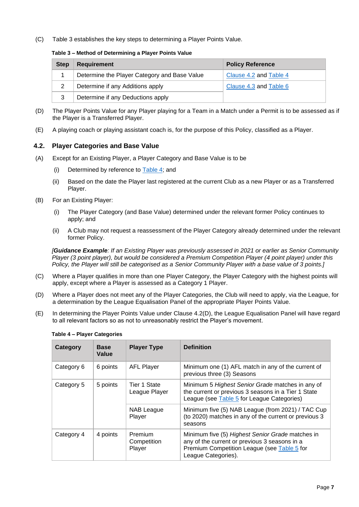(C) Table 3 establishes the key steps to determining a Player Points Value.

#### **Table 3 – Method of Determining a Player Points Value**

| <b>Step</b> | <b>Requirement</b>                           | <b>Policy Reference</b> |
|-------------|----------------------------------------------|-------------------------|
|             | Determine the Player Category and Base Value | Clause 4.2 and Table 4  |
|             | Determine if any Additions apply             | Clause 4.3 and Table 6  |
| 3           | Determine if any Deductions apply            |                         |

- (D) The Player Points Value for any Player playing for a Team in a Match under a Permit is to be assessed as if the Player is a Transferred Player.
- (E) A playing coach or playing assistant coach is, for the purpose of this Policy, classified as a Player.

## <span id="page-7-0"></span>**4.2. Player Categories and Base Value**

- (A) Except for an Existing Player, a Player Category and Base Value is to be
	- (i) Determined by reference to [Table 4;](#page-7-1) and
	- (ii) Based on the date the Player last registered at the current Club as a new Player or as a Transferred Player.
- (B) For an Existing Player:
	- (i) The Player Category (and Base Value) determined under the relevant former Policy continues to apply; and
	- (ii) A Club may not request a reassessment of the Player Category already determined under the relevant former Policy.

*[Guidance Example: If an Existing Player was previously assessed in 2021 or earlier as Senior Community Player (3 point player), but would be considered a Premium Competition Player (4 point player) under this Policy, the Player will still be categorised as a Senior Community Player with a base value of 3 points.]*

- (C) Where a Player qualifies in more than one Player Category, the Player Category with the highest points will apply, except where a Player is assessed as a Category 1 Player.
- <span id="page-7-2"></span>(D) Where a Player does not meet any of the Player Categories, the Club will need to apply, via the League, for a determination by the League Equalisation Panel of the appropriate Player Points Value.
- <span id="page-7-1"></span>(E) In determining the Player Points Value under Clause 4.2(D), the League Equalisation Panel will have regard to all relevant factors so as not to unreasonably restrict the Player's movement.

| Category   | <b>Base</b><br>Value | <b>Player Type</b>               | <b>Definition</b>                                                                                                                                                       |
|------------|----------------------|----------------------------------|-------------------------------------------------------------------------------------------------------------------------------------------------------------------------|
| Category 6 | 6 points             | <b>AFL Player</b>                | Minimum one (1) AFL match in any of the current of<br>previous three (3) Seasons                                                                                        |
| Category 5 | 5 points             | Tier 1 State<br>League Player    | Minimum 5 Highest Senior Grade matches in any of<br>the current or previous 3 seasons in a Tier 1 State<br>League (see Table 5 for League Categories)                   |
|            |                      | <b>NAB League</b><br>Player      | Minimum five (5) NAB League (from 2021) / TAC Cup<br>(to 2020) matches in any of the current or previous 3<br>seasons                                                   |
| Category 4 | 4 points             | Premium<br>Competition<br>Player | Minimum five (5) Highest Senior Grade matches in<br>any of the current or previous 3 seasons in a<br>Premium Competition League (see Table 5 for<br>League Categories). |

### **Table 4 – Player Categories**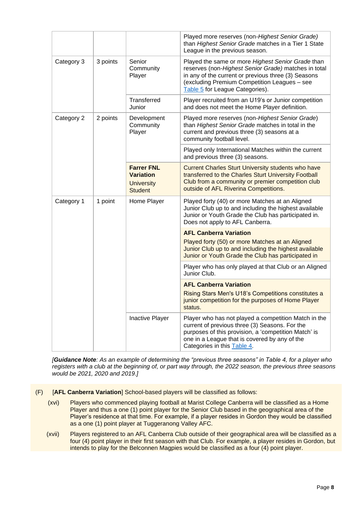|            |          |                                                                              | Played more reserves (non-Highest Senior Grade)<br>than Highest Senior Grade matches in a Tier 1 State<br>League in the previous season.                                                                                                            |  |
|------------|----------|------------------------------------------------------------------------------|-----------------------------------------------------------------------------------------------------------------------------------------------------------------------------------------------------------------------------------------------------|--|
| Category 3 | 3 points | Senior<br>Community<br>Player                                                | Played the same or more Highest Senior Grade than<br>reserves (non-Highest Senior Grade) matches in total<br>in any of the current or previous three (3) Seasons<br>(excluding Premium Competition Leagues - see<br>Table 5 for League Categories). |  |
|            |          | Transferred<br>Junior                                                        | Player recruited from an U19's or Junior competition<br>and does not meet the Home Player definition.                                                                                                                                               |  |
| Category 2 | 2 points | Development<br>Community<br>Player                                           | Played more reserves (non-Highest Senior Grade)<br>than Highest Senior Grade matches in total in the<br>current and previous three (3) seasons at a<br>community football level.                                                                    |  |
|            |          |                                                                              | Played only International Matches within the current<br>and previous three (3) seasons.                                                                                                                                                             |  |
|            |          | <b>Farrer FNL</b><br><b>Variation</b><br><b>University</b><br><b>Student</b> | <b>Current Charles Sturt University students who have</b><br>transferred to the Charles Sturt University Football<br>Club from a community or premier competition club<br>outside of AFL Riverina Competitions.                                     |  |
| Category 1 | 1 point  | Home Player                                                                  | Played forty (40) or more Matches at an Aligned<br>Junior Club up to and including the highest available<br>Junior or Youth Grade the Club has participated in.<br>Does not apply to AFL Canberra.                                                  |  |
|            |          |                                                                              | <b>AFL Canberra Variation</b>                                                                                                                                                                                                                       |  |
|            |          |                                                                              | Played forty (50) or more Matches at an Aligned<br>Junior Club up to and including the highest available<br>Junior or Youth Grade the Club has participated in                                                                                      |  |
|            |          |                                                                              | Player who has only played at that Club or an Aligned<br>Junior Club.                                                                                                                                                                               |  |
|            |          |                                                                              | <b>AFL Canberra Variation</b><br>Rising Stars Men's U18's Competitions constitutes a<br>junior competition for the purposes of Home Player<br>status.                                                                                               |  |
|            |          | Inactive Player                                                              | Player who has not played a competition Match in the<br>current of previous three (3) Seasons. For the<br>purposes of this provision, a 'competition Match' is<br>one in a League that is covered by any of the<br>Categories in this Table 4.      |  |

*[Guidance Note: As an example of determining the "previous three seasons" in Table 4, for a player who registers with a club at the beginning of, or part way through, the 2022 season, the previous three seasons would be 2021, 2020 and 2019.]*

- <span id="page-8-0"></span>(F) [**AFL Canberra Variation**] School-based players will be classified as follows:
	- (xvi) Players who commenced playing football at Marist College Canberra will be classified as a Home Player and thus a one (1) point player for the Senior Club based in the geographical area of the Player's residence at that time. For example, if a player resides in Gordon they would be classified as a one (1) point player at Tuggeranong Valley AFC.
	- (xvii) Players registered to an AFL Canberra Club outside of their geographical area will be classified as a four (4) point player in their first season with that Club. For example, a player resides in Gordon, but intends to play for the Belconnen Magpies would be classified as a four (4) point player.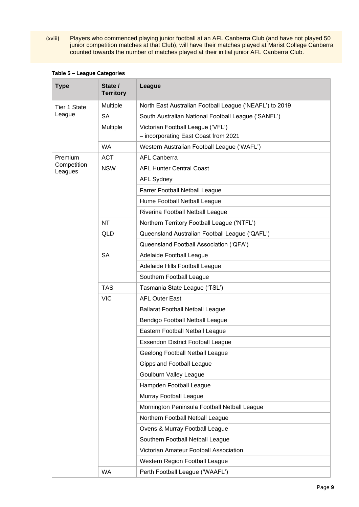(xviii) Players who commenced playing junior football at an AFL Canberra Club (and have not played 50 junior competition matches at that Club), will have their matches played at Marist College Canberra counted towards the number of matches played at their initial junior AFL Canberra Club.

| <b>Type</b>            | State /<br><b>Territory</b> | League                                                                    |  |  |  |
|------------------------|-----------------------------|---------------------------------------------------------------------------|--|--|--|
| <b>Tier 1 State</b>    | Multiple                    | North East Australian Football League ('NEAFL') to 2019                   |  |  |  |
| League                 | <b>SA</b>                   | South Australian National Football League ('SANFL')                       |  |  |  |
|                        | Multiple                    | Victorian Football League ('VFL')<br>- incorporating East Coast from 2021 |  |  |  |
|                        | <b>WA</b>                   | Western Australian Football League ('WAFL')                               |  |  |  |
| Premium                | <b>ACT</b>                  | <b>AFL Canberra</b>                                                       |  |  |  |
| Competition<br>Leagues | <b>NSW</b>                  | <b>AFL Hunter Central Coast</b>                                           |  |  |  |
|                        |                             | <b>AFL Sydney</b>                                                         |  |  |  |
|                        |                             | Farrer Football Netball League                                            |  |  |  |
|                        |                             | Hume Football Netball League                                              |  |  |  |
|                        |                             | Riverina Football Netball League                                          |  |  |  |
|                        | <b>NT</b>                   | Northern Territory Football League ('NTFL')                               |  |  |  |
|                        | <b>QLD</b>                  | Queensland Australian Football League ('QAFL')                            |  |  |  |
|                        |                             | Queensland Football Association ('QFA')                                   |  |  |  |
|                        | <b>SA</b>                   | Adelaide Football League                                                  |  |  |  |
|                        |                             | Adelaide Hills Football League                                            |  |  |  |
|                        |                             | Southern Football League                                                  |  |  |  |
|                        | <b>TAS</b>                  | Tasmania State League ('TSL')                                             |  |  |  |
|                        | <b>VIC</b>                  | <b>AFL Outer East</b>                                                     |  |  |  |
|                        |                             | <b>Ballarat Football Netball League</b>                                   |  |  |  |
|                        |                             | Bendigo Football Netball League                                           |  |  |  |
|                        |                             | Eastern Football Netball League                                           |  |  |  |
|                        |                             | <b>Essendon District Football League</b>                                  |  |  |  |
|                        |                             | Geelong Football Netball League                                           |  |  |  |
|                        |                             | <b>Gippsland Football League</b>                                          |  |  |  |
|                        |                             | <b>Goulburn Valley League</b>                                             |  |  |  |
|                        |                             | Hampden Football League                                                   |  |  |  |
|                        |                             | Murray Football League                                                    |  |  |  |
|                        |                             | Mornington Peninsula Football Netball League                              |  |  |  |
|                        |                             | Northern Football Netball League                                          |  |  |  |
|                        |                             | Ovens & Murray Football League                                            |  |  |  |
|                        |                             | Southern Football Netball League                                          |  |  |  |
|                        |                             | Victorian Amateur Football Association                                    |  |  |  |
|                        |                             | Western Region Football League                                            |  |  |  |
|                        | <b>WA</b>                   | Perth Football League ('WAAFL')                                           |  |  |  |

### **Table 5 – League Categories**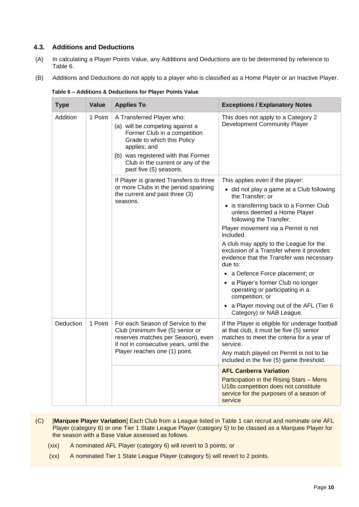## <span id="page-10-0"></span>**4.3. Additions and Deductions**

- (A) In calculating a Player Points Value, any Additions and Deductions are to be determined by reference to Table 6.
- <span id="page-10-2"></span>(B) Additions and Deductions do not apply to a player who is classified as a Home Player or an Inactive Player.

| <b>Type</b> | Value   | <b>Applies To</b>                                                                                                                                                                                                                                | <b>Exceptions / Explanatory Notes</b>                                                                                                                 |
|-------------|---------|--------------------------------------------------------------------------------------------------------------------------------------------------------------------------------------------------------------------------------------------------|-------------------------------------------------------------------------------------------------------------------------------------------------------|
| Addition    | 1 Point | A Transferred Player who:<br>(a) will be competing against a<br>Former Club in a competition<br>Grade to which this Policy<br>applies; and<br>(b) was registered with that Former<br>Club in the current or any of the<br>past five (5) seasons. | This does not apply to a Category 2<br>Development Community Player                                                                                   |
|             |         | If Player is granted Transfers to three<br>or more Clubs in the period spanning<br>the current and past three (3)<br>seasons.                                                                                                                    | This applies even if the player:                                                                                                                      |
|             |         |                                                                                                                                                                                                                                                  | • did not play a game at a Club following<br>the Transfer; or                                                                                         |
|             |         |                                                                                                                                                                                                                                                  | • is transferring back to a Former Club<br>unless deemed a Home Player<br>following the Transfer.                                                     |
|             |         |                                                                                                                                                                                                                                                  | Player movement via a Permit is not<br>included.                                                                                                      |
|             |         |                                                                                                                                                                                                                                                  | A club may apply to the League for the<br>exclusion of a Transfer where it provides<br>evidence that the Transfer was necessary<br>due to:            |
|             |         |                                                                                                                                                                                                                                                  | • a Defence Force placement; or                                                                                                                       |
|             |         |                                                                                                                                                                                                                                                  | • a Player's former Club no longer<br>operating or participating in a<br>competition; or                                                              |
|             |         |                                                                                                                                                                                                                                                  | a Player moving out of the AFL (Tier 6<br>Category) or NAB League.                                                                                    |
| Deduction   | 1 Point | For each Season of Service to the<br>Club (minimum five (5) senior or<br>reserves matches per Season), even<br>if not in consecutive years, until the<br>Player reaches one (1) point.                                                           | If the Player is eligible for underage football<br>at that club, it must be five (5) senior<br>matches to meet the criteria for a year of<br>service. |
|             |         |                                                                                                                                                                                                                                                  | Any match played on Permit is not to be<br>included in the five (5) game threshold.                                                                   |
|             |         |                                                                                                                                                                                                                                                  | <b>AFL Canberra Variation</b>                                                                                                                         |
|             |         |                                                                                                                                                                                                                                                  | Participation in the Rising Stars - Mens<br>U18s competition does not constitute<br>service for the purposes of a season of<br>service                |

**Table 6 – Additions & Deductions for Player Points Value**

- <span id="page-10-3"></span><span id="page-10-1"></span>(C) [**Marquee Player Variation**] Each Club from a League listed in Table 1 can recruit and nominate one AFL Player (category 6) or one Tier 1 State League Player (category 5) to be classed as a Marquee Player for the season with a Base Value assessed as follows.
	- (xix) A nominated AFL Player (category 6) will revert to 3 points; or
	- (xx) A nominated Tier 1 State League Player (category 5) will revert to 2 points.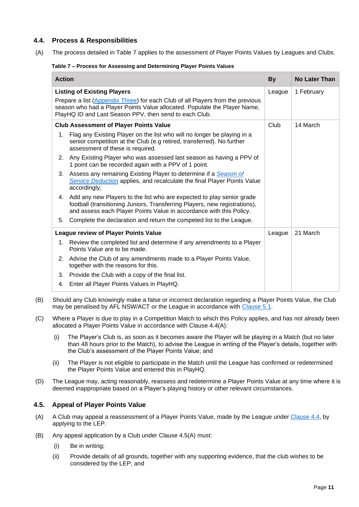## <span id="page-11-0"></span>**4.4. Process & Responsibilities**

(A) The process detailed in Table 7 applies to the assessment of Player Points Values by Leagues and Clubs.

#### **Table 7 – Process for Assessing and Determining Player Points Values**

| <b>Action</b>                                                                                                                                                                                                                                               |                                                                                                                                                                                                                            | <b>By</b> | <b>No Later Than</b> |
|-------------------------------------------------------------------------------------------------------------------------------------------------------------------------------------------------------------------------------------------------------------|----------------------------------------------------------------------------------------------------------------------------------------------------------------------------------------------------------------------------|-----------|----------------------|
| <b>Listing of Existing Players</b><br>Prepare a list (Appendix Three) for each Club of all Players from the previous<br>season who had a Player Points Value allocated. Populate the Player Name,<br>PlayHQ ID and Last Season PPV, then send to each Club. |                                                                                                                                                                                                                            |           | 1 February           |
|                                                                                                                                                                                                                                                             | <b>Club Assessment of Player Points Value</b>                                                                                                                                                                              | Club      | 14 March             |
| 1.                                                                                                                                                                                                                                                          | Flag any Existing Player on the list who will no longer be playing in a<br>senior competition at the Club (e.g retired, transferred). No further<br>assessment of these is required.                                       |           |                      |
| 2.                                                                                                                                                                                                                                                          | Any Existing Player who was assessed last season as having a PPV of<br>1 point can be recorded again with a PPV of 1 point.                                                                                                |           |                      |
| 3.                                                                                                                                                                                                                                                          | Assess any remaining Existing Player to determine if a Season of<br>Service Deduction applies, and recalculate the final Player Points Value<br>accordingly;                                                               |           |                      |
| 4.                                                                                                                                                                                                                                                          | Add any new Players to the list who are expected to play senior grade<br>football (transitioning Juniors, Transferring Players, new registrations),<br>and assess each Player Points Value in accordance with this Policy. |           |                      |
| 5.                                                                                                                                                                                                                                                          | Complete the declaration and return the competed list to the League.                                                                                                                                                       |           |                      |
|                                                                                                                                                                                                                                                             | <b>League review of Player Points Value</b>                                                                                                                                                                                | League    | 21 March             |
| 1.                                                                                                                                                                                                                                                          | Review the completed list and determine if any amendments to a Player<br>Points Value are to be made.                                                                                                                      |           |                      |
| 2.                                                                                                                                                                                                                                                          | Advise the Club of any amendments made to a Player Points Value,<br>together with the reasons for this.                                                                                                                    |           |                      |
| 3.                                                                                                                                                                                                                                                          | Provide the Club with a copy of the final list.                                                                                                                                                                            |           |                      |
| 4.                                                                                                                                                                                                                                                          | Enter all Player Points Values in PlayHQ.                                                                                                                                                                                  |           |                      |

- (B) Should any Club knowingly make a false or incorrect declaration regarding a Player Points Value, the Club may be penalised by AFL NSW/ACT or the League in accordance with [Clause 5.1.](#page-12-1)
- (C) Where a Player is due to play in a Competition Match to which this Policy applies, and has not already been allocated a Player Points Value in accordance with Clause 4.4(A):
	- (i) The Player's Club is, as soon as it becomes aware the Player will be playing in a Match (but no later than 48 hours prior to the Match), to advise the League in writing of the Player's details, together with the Club's assessment of the Player Points Value; and
	- (ii) The Player is not eligible to participate in the Match until the League has confirmed or redetermined the Player Points Value and entered this in PlayHQ.
- (D) The League may, acting reasonably, reassess and redetermine a Player Points Value at any time where it is deemed inappropriate based on a Player's playing history or other relevant circumstances.

## <span id="page-11-1"></span>**4.5. Appeal of Player Points Value**

- (A) A Club may appeal a reassessment of a Player Points Value, made by the League under [Clause 4.4,](#page-11-0) by applying to the LEP.
- (B) Any appeal application by a Club under Clause 4.5(A) must:
	- (i) Be in writing;
	- (ii) Provide details of all grounds, together with any supporting evidence, that the club wishes to be considered by the LEP; and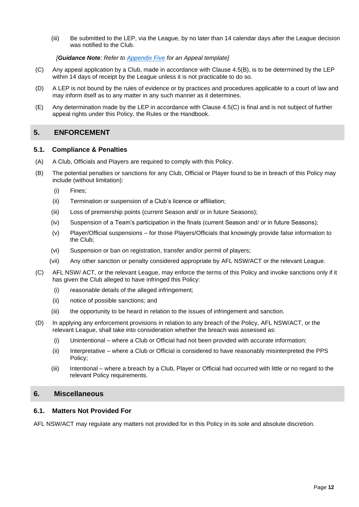<span id="page-12-4"></span>(iii) Be submitted to the LEP, via the League, by no later than 14 calendar days after the League decision was notified to the Club.

#### *[Guidance Note: Refer to [Appendix Five](#page-19-1) for an Appeal template]*

- (C) Any appeal application by a Club, made in accordance with Clause 4.5(B), is to be determined by the LEP within 14 days of receipt by the League unless it is not practicable to do so.
- (D) A LEP is not bound by the rules of evidence or by practices and procedures applicable to a court of law and may inform itself as to any matter in any such manner as it determines.
- (E) Any determination made by the LEP in accordance with Clause 4.5(C) is final and is not subject of further appeal rights under this Policy, the Rules or the Handbook.

## <span id="page-12-0"></span>**5. ENFORCEMENT**

### <span id="page-12-1"></span>**5.1. Compliance & Penalties**

- (A) A Club, Officials and Players are required to comply with this Policy.
- (B) The potential penalties or sanctions for any Club, Official or Player found to be in breach of this Policy may include (without limitation):
	- (i) Fines;
	- (ii) Termination or suspension of a Club's licence or affiliation;
	- (iii) Loss of premiership points (current Season and/ or in future Seasons);
	- (iv) Suspension of a Team's participation in the finals (current Season and/ or in future Seasons);
	- (v) Player/Official suspensions for those Players/Officials that knowingly provide false information to the Club;
	- (vi) Suspension or ban on registration, transfer and/or permit of players;
	- (vii) Any other sanction or penalty considered appropriate by AFL NSW/ACT or the relevant League.
- (C) AFL NSW/ ACT, or the relevant League, may enforce the terms of this Policy and invoke sanctions only if it has given the Club alleged to have infringed this Policy:
	- (i) reasonable details of the alleged infringement;
	- (ii) notice of possible sanctions; and
	- (iii) the opportunity to be heard in relation to the issues of infringement and sanction.
- (D) In applying any enforcement provisions in relation to any breach of the Policy, AFL NSW/ACT, or the relevant League, shall take into consideration whether the breach was assessed as:
	- (i) Unintentional where a Club or Official had not been provided with accurate information;
	- (ii) Interpretative where a Club or Official is considered to have reasonably misinterpreted the PPS Policy;
	- (iii) Intentional where a breach by a Club, Player or Official had occurred with little or no regard to the relevant Policy requirements.

## <span id="page-12-2"></span>**6. Miscellaneous**

### <span id="page-12-3"></span>**6.1. Matters Not Provided For**

AFL NSW/ACT may regulate any matters not provided for in this Policy in its sole and absolute discretion.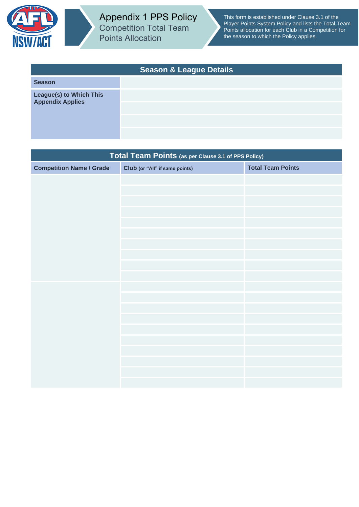<span id="page-13-0"></span>

<span id="page-13-1"></span>Appendix 1 PPS Policy Competition Total Team Points Allocation

This form is established under Clause 3.1 of the Player Points System Policy and lists the Total Team Points allocation for each Club in a Competition for the season to which the Policy applies.

| <b>Season &amp; League Details</b>          |  |  |  |
|---------------------------------------------|--|--|--|
| <b>Season</b>                               |  |  |  |
| League(s) to Which This<br>Appendix Applies |  |  |  |
|                                             |  |  |  |

| Total Team Points (as per Clause 3.1 of PPS Policy) |                                |                          |  |  |
|-----------------------------------------------------|--------------------------------|--------------------------|--|--|
| <b>Competition Name / Grade</b>                     | Club (or "All" if same points) | <b>Total Team Points</b> |  |  |
|                                                     |                                |                          |  |  |
|                                                     |                                |                          |  |  |
|                                                     |                                |                          |  |  |
|                                                     |                                |                          |  |  |
|                                                     |                                |                          |  |  |
|                                                     |                                |                          |  |  |
|                                                     |                                |                          |  |  |
|                                                     |                                |                          |  |  |
|                                                     |                                |                          |  |  |
|                                                     |                                |                          |  |  |
|                                                     |                                |                          |  |  |
|                                                     |                                |                          |  |  |
|                                                     |                                |                          |  |  |
|                                                     |                                |                          |  |  |
|                                                     |                                |                          |  |  |
|                                                     |                                |                          |  |  |
|                                                     |                                |                          |  |  |
|                                                     |                                |                          |  |  |
|                                                     |                                |                          |  |  |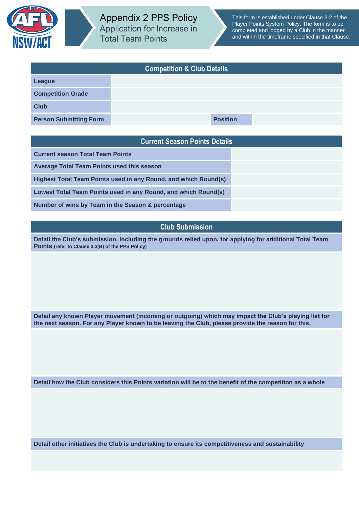<span id="page-14-0"></span>

| <b>Competition &amp; Club Details</b> |  |                 |  |  |
|---------------------------------------|--|-----------------|--|--|
| League                                |  |                 |  |  |
| <b>Competition Grade</b>              |  |                 |  |  |
| <b>Club</b>                           |  |                 |  |  |
| <b>Person Submitting Form</b>         |  | <b>Position</b> |  |  |

## <span id="page-14-1"></span>**Current Season Points Details**

**Current season Total Team Points**

**Average Total Team Points used this season**

**Highest Total Team Points used in any Round, and which Round(s)**

**Lowest Total Team Points used in any Round, and which Round(s)**

**Number of wins by Team in the Season & percentage**

## **Club Submission**

**Detail the Club's submission, including the grounds relied upon, for applying for additional Total Team Points (refer to Clause 3.3(B) of the PPS Policy)**

**Detail any known Player movement (incoming or outgoing) which may impact the Club's playing list for the next season. For any Player known to be leaving the Club, please provide the reason for this.**

**Detail how the Club considers this Points variation will be to the benefit of the competition as a whole**

**Detail other initiatives the Club is undertaking to ensure its competitiveness and sustainability**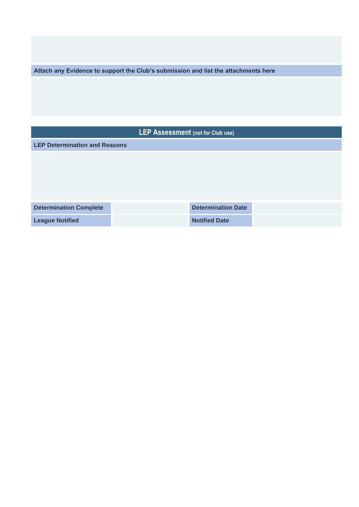**Attach any Evidence to support the Club's submission and list the attachments here**

| LEP Assessment (not for Club use)    |  |                           |  |  |
|--------------------------------------|--|---------------------------|--|--|
| <b>LEP Determination and Reasons</b> |  |                           |  |  |
|                                      |  |                           |  |  |
|                                      |  |                           |  |  |
|                                      |  |                           |  |  |
|                                      |  |                           |  |  |
| <b>Determination Complete</b>        |  | <b>Determination Date</b> |  |  |
| <b>League Notified</b>               |  | <b>Notified Date</b>      |  |  |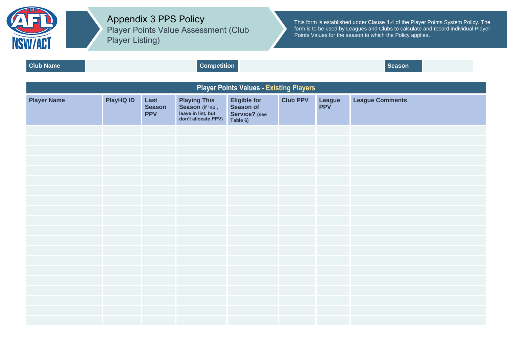

Appendix 3 PPS Policy Player Points Value Assessment (Club Player Listing)

This form is established under Clause 4.4 of the Player Points System Policy. The form is to be used by Leagues and Clubs to calculate and record individual Player Points Values for the season to which the Policy applies.

<span id="page-16-1"></span><span id="page-16-0"></span>**Club Name Competition Competition Competition Competition Season Player Points Values - Existing Players Player Name PlayHQ ID Last Season PPV Playing This Season (if 'no', leave in list, but don't allocate PPV) Eligible for Season of Service? (see Table 6) Club PPV League PPV League Comments**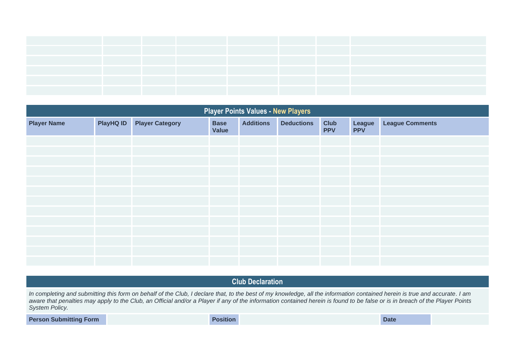| <b>Player Points Values - New Players</b> |           |                        |                      |                  |                   |                           |                      |                        |
|-------------------------------------------|-----------|------------------------|----------------------|------------------|-------------------|---------------------------|----------------------|------------------------|
| <b>Player Name</b>                        | PlayHQ ID | <b>Player Category</b> | <b>Base</b><br>Value | <b>Additions</b> | <b>Deductions</b> | <b>Club</b><br><b>PPV</b> | League<br><b>PPV</b> | <b>League Comments</b> |
|                                           |           |                        |                      |                  |                   |                           |                      |                        |
|                                           |           |                        |                      |                  |                   |                           |                      |                        |
|                                           |           |                        |                      |                  |                   |                           |                      |                        |
|                                           |           |                        |                      |                  |                   |                           |                      |                        |
|                                           |           |                        |                      |                  |                   |                           |                      |                        |
|                                           |           |                        |                      |                  |                   |                           |                      |                        |
|                                           |           |                        |                      |                  |                   |                           |                      |                        |
|                                           |           |                        |                      |                  |                   |                           |                      |                        |
|                                           |           |                        |                      |                  |                   |                           |                      |                        |
|                                           |           |                        |                      |                  |                   |                           |                      |                        |
|                                           |           |                        |                      |                  |                   |                           |                      |                        |
|                                           |           |                        |                      |                  |                   |                           |                      |                        |
|                                           |           |                        |                      |                  |                   |                           |                      |                        |

**Club Declaration**

In completing and submitting this form on behalf of the Club, I declare that, to the best of my knowledge, all the information contained herein is true and accurate. I am *aware that penalties may apply to the Club, an Official and/or a Player if any of the information contained herein is found to be false or is in breach of the Player Points System Policy.*

**Person Submitting Form Date Position Position Position Date Date Date**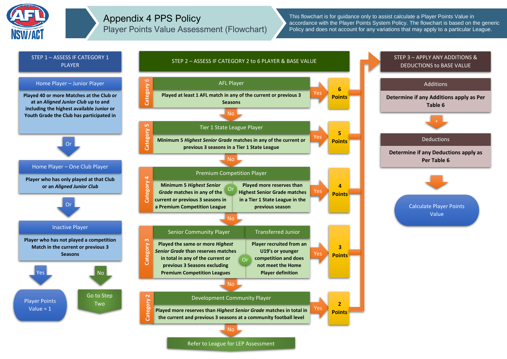

## Appendix 4 PPS Policy Player Points Value Assessment (Flowchart)

This flowchart is for guidance only to assist calculate a Player Points Value in accordance with the Player Points System Policy. The flowchart is based on the generic Policy and does not account for any variations that may apply to a particular League.

<span id="page-18-0"></span>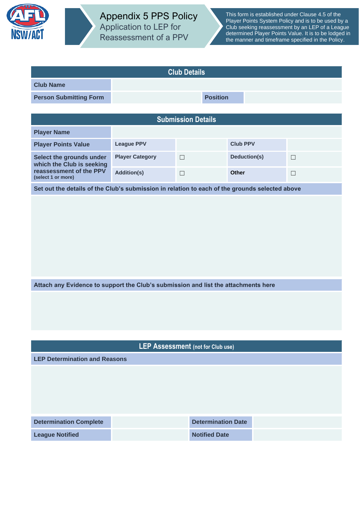<span id="page-19-0"></span>

<span id="page-19-1"></span>

| <b>Club Details</b>                                                                            |                        |                           |                 |                 |        |
|------------------------------------------------------------------------------------------------|------------------------|---------------------------|-----------------|-----------------|--------|
| <b>Club Name</b>                                                                               |                        |                           |                 |                 |        |
| <b>Person Submitting Form</b>                                                                  |                        |                           | <b>Position</b> |                 |        |
|                                                                                                |                        |                           |                 |                 |        |
|                                                                                                |                        | <b>Submission Details</b> |                 |                 |        |
| <b>Player Name</b>                                                                             |                        |                           |                 |                 |        |
| <b>Player Points Value</b>                                                                     | <b>League PPV</b>      |                           |                 | <b>Club PPV</b> |        |
| Select the grounds under<br>which the Club is seeking                                          | <b>Player Category</b> | $\Box$                    |                 | Deduction(s)    | $\Box$ |
| reassessment of the PPV<br>(select 1 or more)                                                  | <b>Addition(s)</b>     | $\Box$                    |                 | <b>Other</b>    | $\Box$ |
| Set out the details of the Club's submission in relation to each of the grounds selected above |                        |                           |                 |                 |        |
|                                                                                                |                        |                           |                 |                 |        |
| Attach any Evidence to support the Club's submission and list the attachments here             |                        |                           |                 |                 |        |
|                                                                                                |                        |                           |                 |                 |        |
| LEP Assessment (not for Club use)                                                              |                        |                           |                 |                 |        |
| <b>LEP Determination and Reasons</b>                                                           |                        |                           |                 |                 |        |
| <b>Determination Date</b><br><b>Determination Complete</b>                                     |                        |                           |                 |                 |        |

**League Notified Community Community Community Community Community Community Community Community Community Community**